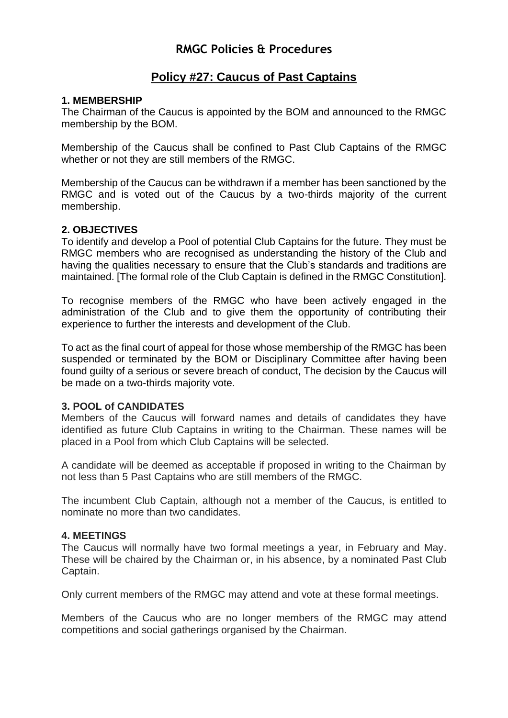# **RMGC Policies & Procedures**

# **Policy #27: Caucus of Past Captains**

# **1. MEMBERSHIP**

The Chairman of the Caucus is appointed by the BOM and announced to the RMGC membership by the BOM.

Membership of the Caucus shall be confined to Past Club Captains of the RMGC whether or not they are still members of the RMGC.

Membership of the Caucus can be withdrawn if a member has been sanctioned by the RMGC and is voted out of the Caucus by a two-thirds majority of the current membership.

# **2. OBJECTIVES**

To identify and develop a Pool of potential Club Captains for the future. They must be RMGC members who are recognised as understanding the history of the Club and having the qualities necessary to ensure that the Club's standards and traditions are maintained. [The formal role of the Club Captain is defined in the RMGC Constitution].

To recognise members of the RMGC who have been actively engaged in the administration of the Club and to give them the opportunity of contributing their experience to further the interests and development of the Club.

To act as the final court of appeal for those whose membership of the RMGC has been suspended or terminated by the BOM or Disciplinary Committee after having been found guilty of a serious or severe breach of conduct, The decision by the Caucus will be made on a two-thirds majority vote.

## **3. POOL of CANDIDATES**

Members of the Caucus will forward names and details of candidates they have identified as future Club Captains in writing to the Chairman. These names will be placed in a Pool from which Club Captains will be selected.

A candidate will be deemed as acceptable if proposed in writing to the Chairman by not less than 5 Past Captains who are still members of the RMGC.

The incumbent Club Captain, although not a member of the Caucus, is entitled to nominate no more than two candidates.

### **4. MEETINGS**

The Caucus will normally have two formal meetings a year, in February and May. These will be chaired by the Chairman or, in his absence, by a nominated Past Club Captain.

Only current members of the RMGC may attend and vote at these formal meetings.

Members of the Caucus who are no longer members of the RMGC may attend competitions and social gatherings organised by the Chairman.